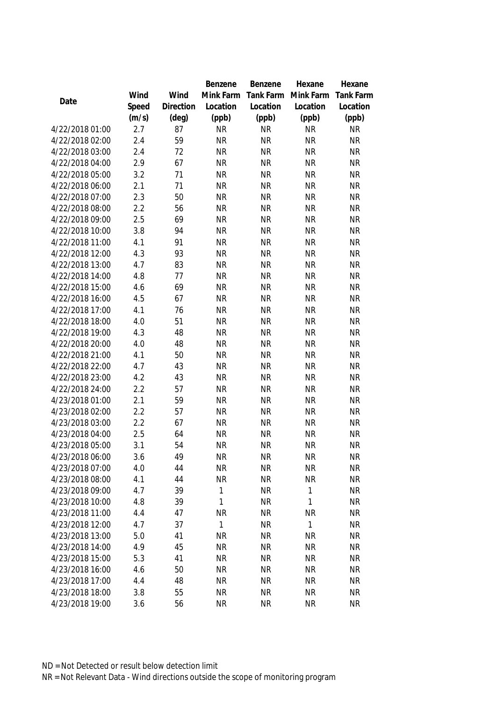|                                    |            |                | Benzene                   | Benzene                | Hexane                 | Hexane                 |
|------------------------------------|------------|----------------|---------------------------|------------------------|------------------------|------------------------|
|                                    | Wind       | Wind           | Mink Farm                 | Tank Farm              | Mink Farm              | <b>Tank Farm</b>       |
| Date                               | Speed      | Direction      | Location                  | Location               | Location               | Location               |
|                                    | (m/s)      | $(\text{deg})$ | (ppb)                     | (ppb)                  | (ppb)                  | (ppb)                  |
| 4/22/2018 01:00                    | 2.7        | 87             | <b>NR</b>                 | <b>NR</b>              | <b>NR</b>              | <b>NR</b>              |
| 4/22/2018 02:00                    | 2.4        | 59             | <b>NR</b>                 | <b>NR</b>              | <b>NR</b>              | <b>NR</b>              |
| 4/22/2018 03:00                    | 2.4        | 72             | <b>NR</b>                 | <b>NR</b>              | <b>NR</b>              | <b>NR</b>              |
| 4/22/2018 04:00                    | 2.9        | 67             | <b>NR</b>                 | <b>NR</b>              | <b>NR</b>              | <b>NR</b>              |
| 4/22/2018 05:00                    | 3.2        | 71             | <b>NR</b>                 | <b>NR</b>              | <b>NR</b>              | <b>NR</b>              |
| 4/22/2018 06:00                    | 2.1        | 71             | <b>NR</b>                 | <b>NR</b>              | <b>NR</b>              | <b>NR</b>              |
| 4/22/2018 07:00                    | 2.3        | 50             | <b>NR</b>                 | <b>NR</b>              | <b>NR</b>              | <b>NR</b>              |
| 4/22/2018 08:00                    | 2.2        | 56             | <b>NR</b>                 | <b>NR</b>              | <b>NR</b>              | NR                     |
| 4/22/2018 09:00                    | 2.5        | 69             | <b>NR</b>                 | <b>NR</b>              | <b>NR</b>              | <b>NR</b>              |
| 4/22/2018 10:00                    | 3.8        | 94             | <b>NR</b>                 | <b>NR</b>              | <b>NR</b>              | <b>NR</b>              |
| 4/22/2018 11:00                    | 4.1        | 91             | <b>NR</b>                 | <b>NR</b>              | <b>NR</b>              | <b>NR</b>              |
| 4/22/2018 12:00                    | 4.3        | 93             | <b>NR</b>                 | <b>NR</b>              | <b>NR</b>              | NR                     |
| 4/22/2018 13:00                    | 4.7        | 83             | <b>NR</b>                 | <b>NR</b>              | <b>NR</b>              | <b>NR</b>              |
| 4/22/2018 14:00                    | 4.8        | 77             | <b>NR</b>                 | <b>NR</b>              | <b>NR</b>              | <b>NR</b>              |
| 4/22/2018 15:00                    | 4.6        | 69             | <b>NR</b>                 | <b>NR</b>              | <b>NR</b>              | <b>NR</b>              |
| 4/22/2018 16:00                    | 4.5        | 67             | <b>NR</b>                 | <b>NR</b>              | <b>NR</b>              | <b>NR</b>              |
| 4/22/2018 17:00                    | 4.1        | 76             | <b>NR</b>                 | <b>NR</b>              | <b>NR</b>              | <b>NR</b>              |
| 4/22/2018 18:00                    | 4.0        | 51             | <b>NR</b>                 | <b>NR</b>              | <b>NR</b>              | <b>NR</b>              |
| 4/22/2018 19:00                    | 4.3        | 48             | <b>NR</b>                 | <b>NR</b>              | <b>NR</b>              | <b>NR</b>              |
| 4/22/2018 20:00                    | 4.0        | 48             | <b>NR</b>                 | <b>NR</b>              | <b>NR</b>              | <b>NR</b>              |
| 4/22/2018 21:00                    | 4.1        | 50             | <b>NR</b>                 | <b>NR</b>              | <b>NR</b>              | <b>NR</b>              |
| 4/22/2018 22:00                    | 4.7        | 43             | <b>NR</b>                 | <b>NR</b>              | <b>NR</b>              | <b>NR</b>              |
| 4/22/2018 23:00                    | 4.2        | 43             | <b>NR</b>                 | <b>NR</b>              | <b>NR</b>              | <b>NR</b>              |
| 4/22/2018 24:00                    | 2.2        | 57             | <b>NR</b>                 | <b>NR</b>              | <b>NR</b>              | <b>NR</b>              |
| 4/23/2018 01:00                    | 2.1        | 59             | <b>NR</b>                 | <b>NR</b>              | <b>NR</b>              | <b>NR</b>              |
| 4/23/2018 02:00                    | 2.2        | 57             | <b>NR</b>                 | <b>NR</b>              | <b>NR</b>              | <b>NR</b>              |
| 4/23/2018 03:00                    | 2.2        | 67             | <b>NR</b>                 | <b>NR</b>              | <b>NR</b>              | NR                     |
| 4/23/2018 04:00                    | 2.5        | 64             | <b>NR</b>                 | <b>NR</b>              | <b>NR</b>              | <b>NR</b>              |
| 4/23/2018 05:00                    | 3.1        | 54             | <b>NR</b>                 | <b>NR</b>              | <b>NR</b>              | <b>NR</b>              |
| 4/23/2018 06:00                    | 3.6        | 49             | <b>NR</b>                 | <b>NR</b>              | <b>NR</b>              | <b>NR</b>              |
| 4/23/2018 07:00                    | 4.0        | 44             | <b>NR</b>                 | <b>NR</b>              | <b>NR</b>              | <b>NR</b>              |
| 4/23/2018 08:00                    | 4.1        | 44             | <b>NR</b>                 | <b>NR</b>              | <b>NR</b>              | <b>NR</b>              |
| 4/23/2018 09:00                    | 4.7        | 39             | 1                         | <b>NR</b>              | $\mathbf{1}$           | <b>NR</b>              |
| 4/23/2018 10:00                    | 4.8        | 39             | $\mathbf{1}$              | <b>NR</b>              | $\mathbf{1}$           | <b>NR</b>              |
| 4/23/2018 11:00                    | 4.4        | 47             | <b>NR</b>                 | <b>NR</b>              | <b>NR</b>              | <b>NR</b>              |
| 4/23/2018 12:00<br>4/23/2018 13:00 | 4.7        | 37             | $\mathbf{1}$<br><b>NR</b> | <b>NR</b><br><b>NR</b> | $\mathbf{1}$           | <b>NR</b>              |
| 4/23/2018 14:00                    | 5.0<br>4.9 | 41             | <b>NR</b>                 | <b>NR</b>              | <b>NR</b>              | <b>NR</b>              |
| 4/23/2018 15:00                    |            | 45             |                           | <b>NR</b>              | <b>NR</b>              | <b>NR</b>              |
| 4/23/2018 16:00                    | 5.3<br>4.6 | 41<br>50       | <b>NR</b><br><b>NR</b>    | <b>NR</b>              | <b>NR</b><br><b>NR</b> | <b>NR</b><br><b>NR</b> |
| 4/23/2018 17:00                    | 4.4        | 48             | <b>NR</b>                 | <b>NR</b>              | <b>NR</b>              | <b>NR</b>              |
| 4/23/2018 18:00                    | 3.8        | 55             | <b>NR</b>                 | <b>NR</b>              | <b>NR</b>              | <b>NR</b>              |
| 4/23/2018 19:00                    |            | 56             | <b>NR</b>                 | <b>NR</b>              | <b>NR</b>              | <b>NR</b>              |
|                                    | 3.6        |                |                           |                        |                        |                        |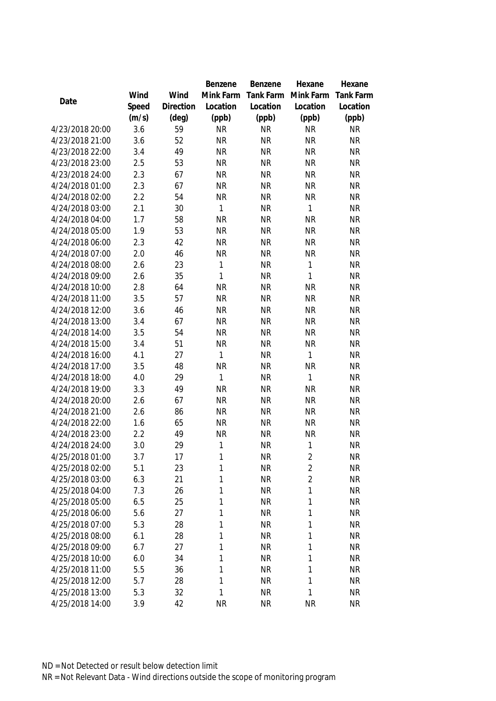|                 |       |           | Benzene      | Benzene   | Hexane         | Hexane           |
|-----------------|-------|-----------|--------------|-----------|----------------|------------------|
|                 | Wind  | Wind      | Mink Farm    | Tank Farm | Mink Farm      | <b>Tank Farm</b> |
| Date            | Speed | Direction | Location     | Location  | Location       | Location         |
|                 | (m/s) | (deg)     | (ppb)        | (ppb)     | (ppb)          | (ppb)            |
| 4/23/2018 20:00 | 3.6   | 59        | <b>NR</b>    | <b>NR</b> | <b>NR</b>      | <b>NR</b>        |
| 4/23/2018 21:00 | 3.6   | 52        | <b>NR</b>    | <b>NR</b> | <b>NR</b>      | <b>NR</b>        |
| 4/23/2018 22:00 | 3.4   | 49        | <b>NR</b>    | <b>NR</b> | <b>NR</b>      | <b>NR</b>        |
| 4/23/2018 23:00 | 2.5   | 53        | <b>NR</b>    | <b>NR</b> | <b>NR</b>      | <b>NR</b>        |
| 4/23/2018 24:00 | 2.3   | 67        | <b>NR</b>    | <b>NR</b> | <b>NR</b>      | <b>NR</b>        |
| 4/24/2018 01:00 | 2.3   | 67        | <b>NR</b>    | <b>NR</b> | <b>NR</b>      | <b>NR</b>        |
| 4/24/2018 02:00 | 2.2   | 54        | <b>NR</b>    | <b>NR</b> | <b>NR</b>      | <b>NR</b>        |
| 4/24/2018 03:00 | 2.1   | 30        | $\mathbf{1}$ | <b>NR</b> | $\mathbf{1}$   | <b>NR</b>        |
| 4/24/2018 04:00 | 1.7   | 58        | <b>NR</b>    | <b>NR</b> | <b>NR</b>      | <b>NR</b>        |
| 4/24/2018 05:00 | 1.9   | 53        | <b>NR</b>    | <b>NR</b> | <b>NR</b>      | <b>NR</b>        |
| 4/24/2018 06:00 | 2.3   | 42        | <b>NR</b>    | <b>NR</b> | <b>NR</b>      | <b>NR</b>        |
| 4/24/2018 07:00 | 2.0   | 46        | <b>NR</b>    | <b>NR</b> | <b>NR</b>      | <b>NR</b>        |
| 4/24/2018 08:00 | 2.6   | 23        | 1            | <b>NR</b> | 1              | <b>NR</b>        |
| 4/24/2018 09:00 | 2.6   | 35        | 1            | <b>NR</b> | $\mathbf{1}$   | <b>NR</b>        |
| 4/24/2018 10:00 | 2.8   | 64        | <b>NR</b>    | <b>NR</b> | <b>NR</b>      | <b>NR</b>        |
| 4/24/2018 11:00 | 3.5   | 57        | <b>NR</b>    | <b>NR</b> | <b>NR</b>      | <b>NR</b>        |
| 4/24/2018 12:00 | 3.6   | 46        | <b>NR</b>    | <b>NR</b> | <b>NR</b>      | <b>NR</b>        |
| 4/24/2018 13:00 | 3.4   | 67        | <b>NR</b>    | <b>NR</b> | <b>NR</b>      | <b>NR</b>        |
| 4/24/2018 14:00 | 3.5   | 54        | <b>NR</b>    | <b>NR</b> | <b>NR</b>      | <b>NR</b>        |
| 4/24/2018 15:00 | 3.4   | 51        | <b>NR</b>    | <b>NR</b> | <b>NR</b>      | <b>NR</b>        |
| 4/24/2018 16:00 | 4.1   | 27        | 1            | <b>NR</b> | $\mathbf{1}$   | <b>NR</b>        |
| 4/24/2018 17:00 | 3.5   | 48        | <b>NR</b>    | <b>NR</b> | <b>NR</b>      | <b>NR</b>        |
| 4/24/2018 18:00 | 4.0   | 29        | 1            | <b>NR</b> | $\mathbf{1}$   | <b>NR</b>        |
| 4/24/2018 19:00 | 3.3   | 49        | <b>NR</b>    | <b>NR</b> | <b>NR</b>      | <b>NR</b>        |
| 4/24/2018 20:00 | 2.6   | 67        | <b>NR</b>    | <b>NR</b> | <b>NR</b>      | <b>NR</b>        |
| 4/24/2018 21:00 | 2.6   | 86        | <b>NR</b>    | <b>NR</b> | <b>NR</b>      | <b>NR</b>        |
| 4/24/2018 22:00 | 1.6   | 65        | <b>NR</b>    | <b>NR</b> | <b>NR</b>      | <b>NR</b>        |
| 4/24/2018 23:00 | 2.2   | 49        | <b>NR</b>    | <b>NR</b> | <b>NR</b>      | <b>NR</b>        |
| 4/24/2018 24:00 | 3.0   | 29        | 1            | <b>NR</b> | 1              | <b>NR</b>        |
| 4/25/2018 01:00 | 3.7   | 17        | 1            | <b>NR</b> | $\overline{2}$ | <b>NR</b>        |
| 4/25/2018 02:00 | 5.1   | 23        | 1            | <b>NR</b> | $\overline{2}$ | <b>NR</b>        |
| 4/25/2018 03:00 | 6.3   | 21        | 1            | <b>NR</b> | $\overline{2}$ | <b>NR</b>        |
| 4/25/2018 04:00 | 7.3   | 26        | 1            | <b>NR</b> | $\mathbf{1}$   | <b>NR</b>        |
| 4/25/2018 05:00 | 6.5   | 25        | 1            | <b>NR</b> | 1              | <b>NR</b>        |
| 4/25/2018 06:00 | 5.6   | 27        | 1            | <b>NR</b> | 1              | <b>NR</b>        |
| 4/25/2018 07:00 | 5.3   | 28        | 1            | <b>NR</b> | 1              | <b>NR</b>        |
| 4/25/2018 08:00 | 6.1   | 28        | 1            | <b>NR</b> | $\mathbf{1}$   | <b>NR</b>        |
| 4/25/2018 09:00 | 6.7   | 27        | 1            | <b>NR</b> | 1              | <b>NR</b>        |
| 4/25/2018 10:00 | 6.0   | 34        | 1            | <b>NR</b> | 1              | <b>NR</b>        |
| 4/25/2018 11:00 | 5.5   | 36        | 1            | <b>NR</b> | 1              | <b>NR</b>        |
| 4/25/2018 12:00 | 5.7   | 28        | 1            | <b>NR</b> | 1              | <b>NR</b>        |
| 4/25/2018 13:00 | 5.3   | 32        | 1            | <b>NR</b> | $\mathbf{1}$   | <b>NR</b>        |
| 4/25/2018 14:00 | 3.9   | 42        | <b>NR</b>    | <b>NR</b> | <b>NR</b>      | <b>NR</b>        |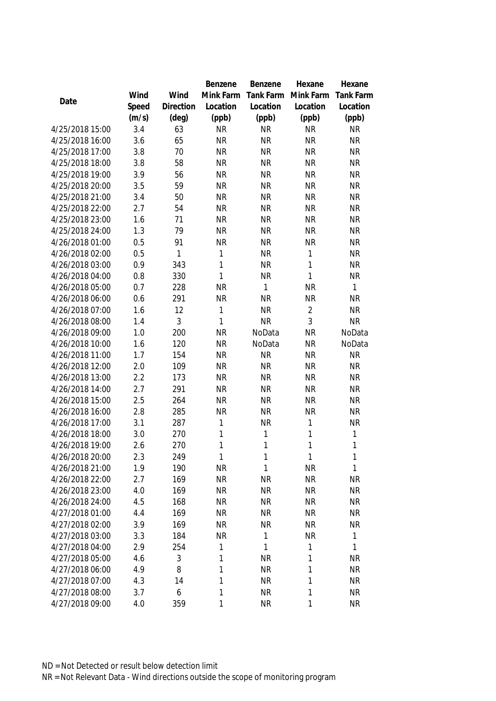|                 |       |                | Benzene   | Benzene      | Hexane         | Hexane           |
|-----------------|-------|----------------|-----------|--------------|----------------|------------------|
|                 | Wind  | Wind           | Mink Farm | Tank Farm    | Mink Farm      | <b>Tank Farm</b> |
| Date            | Speed | Direction      | Location  | Location     | Location       | Location         |
|                 | (m/s) | $(\text{deg})$ | (ppb)     | (ppb)        | (ppb)          | (ppb)            |
| 4/25/2018 15:00 | 3.4   | 63             | <b>NR</b> | <b>NR</b>    | <b>NR</b>      | <b>NR</b>        |
| 4/25/2018 16:00 | 3.6   | 65             | <b>NR</b> | <b>NR</b>    | <b>NR</b>      | <b>NR</b>        |
| 4/25/2018 17:00 | 3.8   | 70             | <b>NR</b> | <b>NR</b>    | <b>NR</b>      | <b>NR</b>        |
| 4/25/2018 18:00 | 3.8   | 58             | <b>NR</b> | <b>NR</b>    | <b>NR</b>      | <b>NR</b>        |
| 4/25/2018 19:00 | 3.9   | 56             | <b>NR</b> | <b>NR</b>    | <b>NR</b>      | <b>NR</b>        |
| 4/25/2018 20:00 | 3.5   | 59             | <b>NR</b> | <b>NR</b>    | <b>NR</b>      | <b>NR</b>        |
| 4/25/2018 21:00 | 3.4   | 50             | <b>NR</b> | <b>NR</b>    | <b>NR</b>      | <b>NR</b>        |
| 4/25/2018 22:00 | 2.7   | 54             | <b>NR</b> | <b>NR</b>    | <b>NR</b>      | <b>NR</b>        |
| 4/25/2018 23:00 | 1.6   | 71             | <b>NR</b> | <b>NR</b>    | <b>NR</b>      | <b>NR</b>        |
| 4/25/2018 24:00 | 1.3   | 79             | <b>NR</b> | <b>NR</b>    | <b>NR</b>      | <b>NR</b>        |
| 4/26/2018 01:00 | 0.5   | 91             | <b>NR</b> | <b>NR</b>    | <b>NR</b>      | <b>NR</b>        |
| 4/26/2018 02:00 | 0.5   | 1              | 1         | <b>NR</b>    | 1              | <b>NR</b>        |
| 4/26/2018 03:00 | 0.9   | 343            | 1         | <b>NR</b>    | $\mathbf{1}$   | <b>NR</b>        |
| 4/26/2018 04:00 | 0.8   | 330            | 1         | <b>NR</b>    | $\mathbf{1}$   | <b>NR</b>        |
| 4/26/2018 05:00 | 0.7   | 228            | <b>NR</b> | $\mathbf{1}$ | <b>NR</b>      | $\mathbf{1}$     |
| 4/26/2018 06:00 | 0.6   | 291            | <b>NR</b> | <b>NR</b>    | <b>NR</b>      | <b>NR</b>        |
| 4/26/2018 07:00 | 1.6   | 12             | 1         | <b>NR</b>    | $\overline{2}$ | <b>NR</b>        |
| 4/26/2018 08:00 | 1.4   | 3              | 1         | <b>NR</b>    | 3              | <b>NR</b>        |
| 4/26/2018 09:00 | 1.0   | 200            | <b>NR</b> | NoData       | <b>NR</b>      | NoData           |
| 4/26/2018 10:00 | 1.6   | 120            | <b>NR</b> | NoData       | <b>NR</b>      | NoData           |
| 4/26/2018 11:00 | 1.7   | 154            | <b>NR</b> | <b>NR</b>    | <b>NR</b>      | <b>NR</b>        |
| 4/26/2018 12:00 | 2.0   | 109            | <b>NR</b> | <b>NR</b>    | <b>NR</b>      | <b>NR</b>        |
| 4/26/2018 13:00 | 2.2   | 173            | <b>NR</b> | <b>NR</b>    | <b>NR</b>      | <b>NR</b>        |
| 4/26/2018 14:00 | 2.7   | 291            | <b>NR</b> | <b>NR</b>    | <b>NR</b>      | <b>NR</b>        |
| 4/26/2018 15:00 | 2.5   | 264            | <b>NR</b> | <b>NR</b>    | <b>NR</b>      | <b>NR</b>        |
| 4/26/2018 16:00 | 2.8   | 285            | <b>NR</b> | <b>NR</b>    | <b>NR</b>      | <b>NR</b>        |
| 4/26/2018 17:00 | 3.1   | 287            | 1         | <b>NR</b>    | $\mathbf{1}$   | <b>NR</b>        |
| 4/26/2018 18:00 | 3.0   | 270            | 1         | 1            | 1              | 1                |
| 4/26/2018 19:00 | 2.6   | 270            | 1         | 1            | $\mathbf{1}$   | 1                |
| 4/26/2018 20:00 | 2.3   | 249            | 1         | 1            | $\mathbf{1}$   | 1                |
| 4/26/2018 21:00 | 1.9   | 190            | <b>NR</b> | 1            | <b>NR</b>      | 1                |
| 4/26/2018 22:00 | 2.7   | 169            | <b>NR</b> | <b>NR</b>    | <b>NR</b>      | <b>NR</b>        |
| 4/26/2018 23:00 | 4.0   | 169            | <b>NR</b> | <b>NR</b>    | <b>NR</b>      | <b>NR</b>        |
| 4/26/2018 24:00 | 4.5   | 168            | NR        | <b>NR</b>    | <b>NR</b>      | <b>NR</b>        |
| 4/27/2018 01:00 | 4.4   | 169            | <b>NR</b> | <b>NR</b>    | <b>NR</b>      | <b>NR</b>        |
| 4/27/2018 02:00 | 3.9   | 169            | <b>NR</b> | <b>NR</b>    | <b>NR</b>      | <b>NR</b>        |
| 4/27/2018 03:00 | 3.3   | 184            | <b>NR</b> | 1            | <b>NR</b>      | 1                |
| 4/27/2018 04:00 | 2.9   | 254            | 1         | $\mathbf{1}$ | 1              | 1                |
| 4/27/2018 05:00 | 4.6   | 3              | 1         | <b>NR</b>    | 1              | <b>NR</b>        |
| 4/27/2018 06:00 | 4.9   | 8              | 1         | <b>NR</b>    | 1              | <b>NR</b>        |
| 4/27/2018 07:00 | 4.3   | 14             | 1         | <b>NR</b>    | 1              | <b>NR</b>        |
| 4/27/2018 08:00 | 3.7   | 6              | 1         | <b>NR</b>    | 1              | <b>NR</b>        |
| 4/27/2018 09:00 | 4.0   | 359            | 1         | <b>NR</b>    | 1              | <b>NR</b>        |